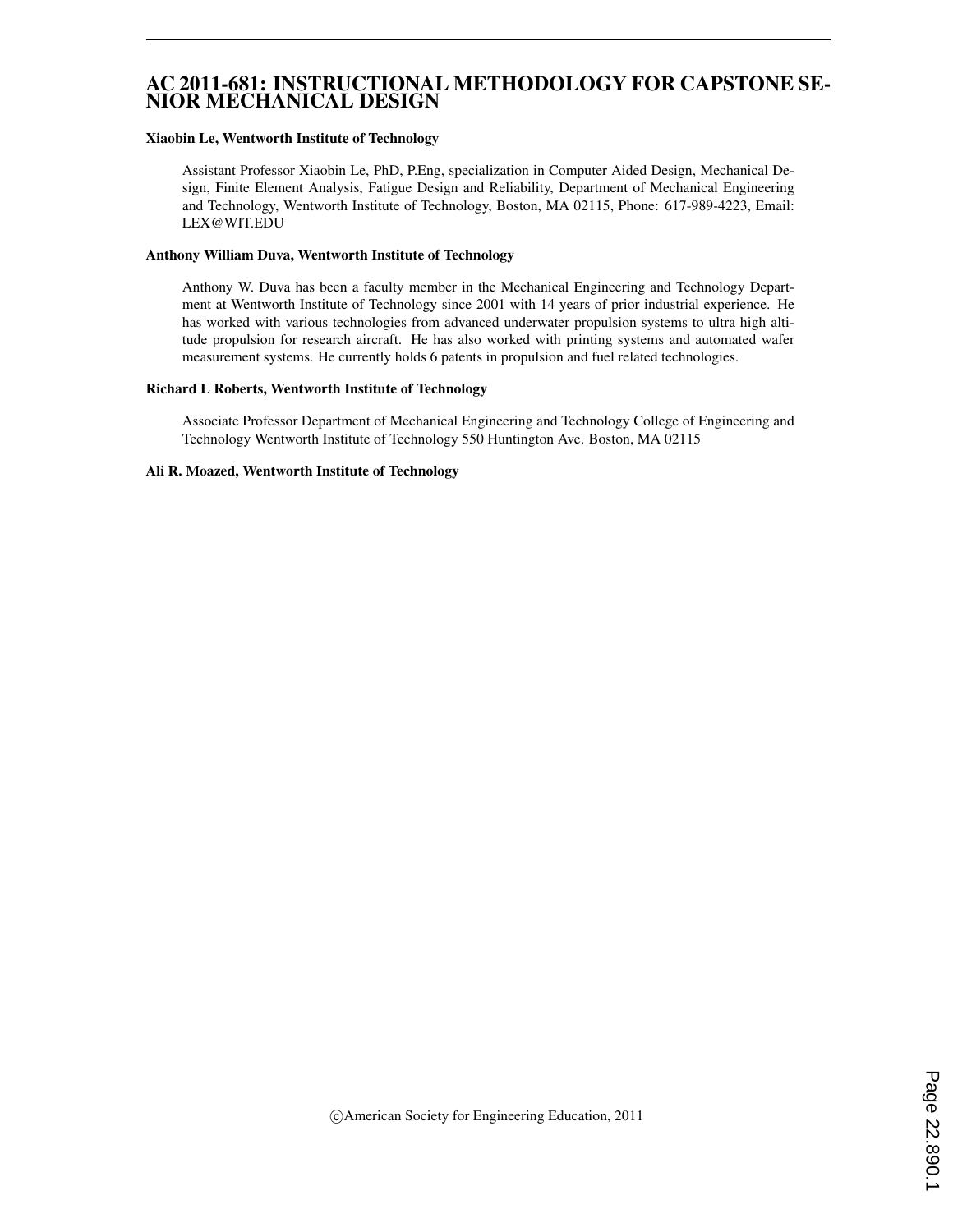### AC 2011-681: INSTRUCTIONAL METHODOLOGY FOR CAPSTONE SE-NIOR MECHANICAL DESIGN

#### Xiaobin Le, Wentworth Institute of Technology

Assistant Professor Xiaobin Le, PhD, P.Eng, specialization in Computer Aided Design, Mechanical Design, Finite Element Analysis, Fatigue Design and Reliability, Department of Mechanical Engineering and Technology, Wentworth Institute of Technology, Boston, MA 02115, Phone: 617-989-4223, Email: LEX@WIT.EDU

#### Anthony William Duva, Wentworth Institute of Technology

Anthony W. Duva has been a faculty member in the Mechanical Engineering and Technology Department at Wentworth Institute of Technology since 2001 with 14 years of prior industrial experience. He has worked with various technologies from advanced underwater propulsion systems to ultra high altitude propulsion for research aircraft. He has also worked with printing systems and automated wafer measurement systems. He currently holds 6 patents in propulsion and fuel related technologies.

#### Richard L Roberts, Wentworth Institute of Technology

Associate Professor Department of Mechanical Engineering and Technology College of Engineering and Technology Wentworth Institute of Technology 550 Huntington Ave. Boston, MA 02115

#### Ali R. Moazed, Wentworth Institute of Technology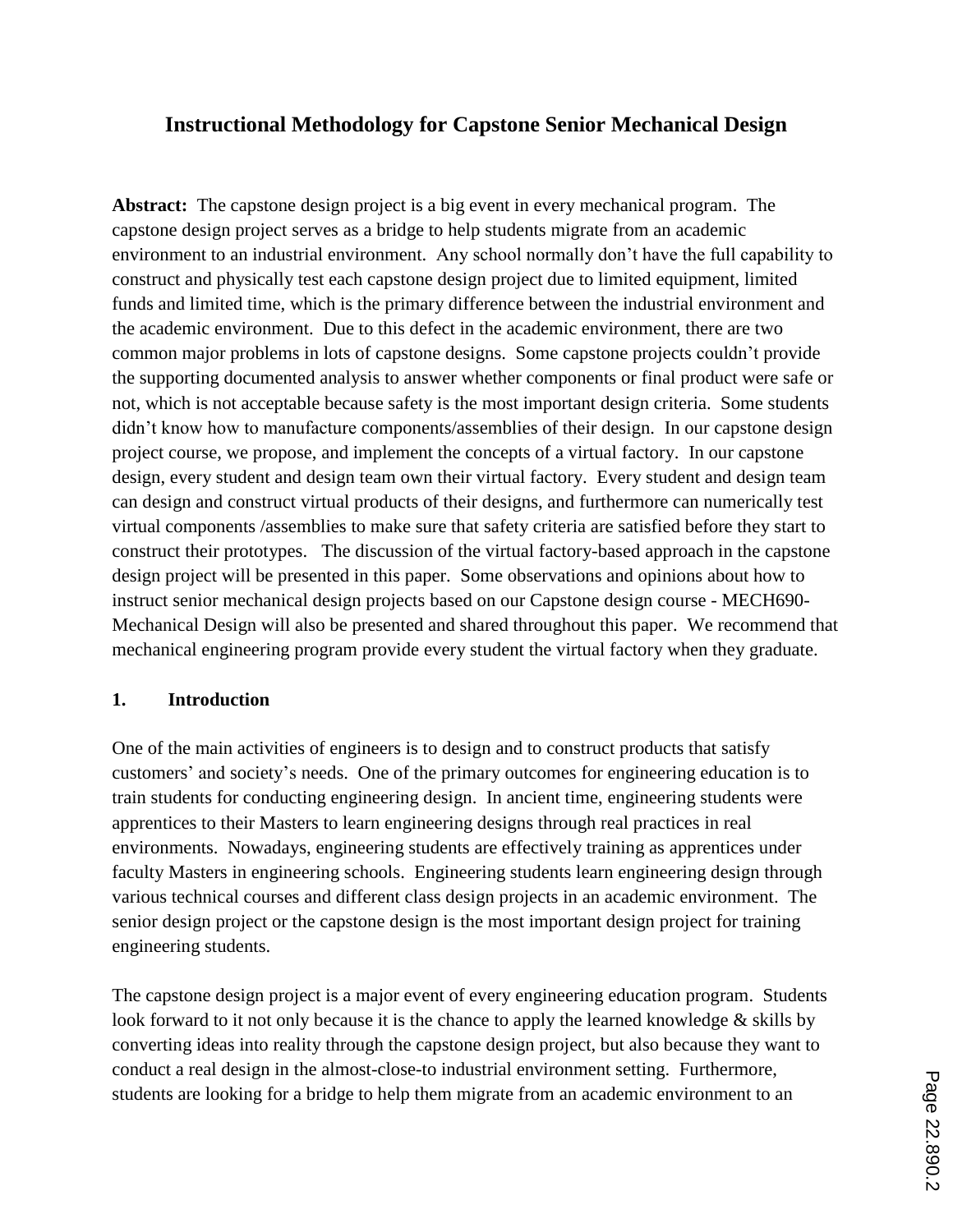# **Instructional Methodology for Capstone Senior Mechanical Design**

**Abstract:** The capstone design project is a big event in every mechanical program. The capstone design project serves as a bridge to help students migrate from an academic environment to an industrial environment. Any school normally don"t have the full capability to construct and physically test each capstone design project due to limited equipment, limited funds and limited time, which is the primary difference between the industrial environment and the academic environment. Due to this defect in the academic environment, there are two common major problems in lots of capstone designs. Some capstone projects couldn"t provide the supporting documented analysis to answer whether components or final product were safe or not, which is not acceptable because safety is the most important design criteria. Some students didn't know how to manufacture components/assemblies of their design. In our capstone design project course, we propose, and implement the concepts of a virtual factory. In our capstone design, every student and design team own their virtual factory. Every student and design team can design and construct virtual products of their designs, and furthermore can numerically test virtual components /assemblies to make sure that safety criteria are satisfied before they start to construct their prototypes. The discussion of the virtual factory-based approach in the capstone design project will be presented in this paper. Some observations and opinions about how to instruct senior mechanical design projects based on our Capstone design course - MECH690- Mechanical Design will also be presented and shared throughout this paper. We recommend that mechanical engineering program provide every student the virtual factory when they graduate.

#### **1. Introduction**

One of the main activities of engineers is to design and to construct products that satisfy customers" and society"s needs. One of the primary outcomes for engineering education is to train students for conducting engineering design. In ancient time, engineering students were apprentices to their Masters to learn engineering designs through real practices in real environments. Nowadays, engineering students are effectively training as apprentices under faculty Masters in engineering schools. Engineering students learn engineering design through various technical courses and different class design projects in an academic environment. The senior design project or the capstone design is the most important design project for training engineering students.

The capstone design project is a major event of every engineering education program. Students look forward to it not only because it is the chance to apply the learned knowledge & skills by converting ideas into reality through the capstone design project, but also because they want to conduct a real design in the almost-close-to industrial environment setting. Furthermore, students are looking for a bridge to help them migrate from an academic environment to an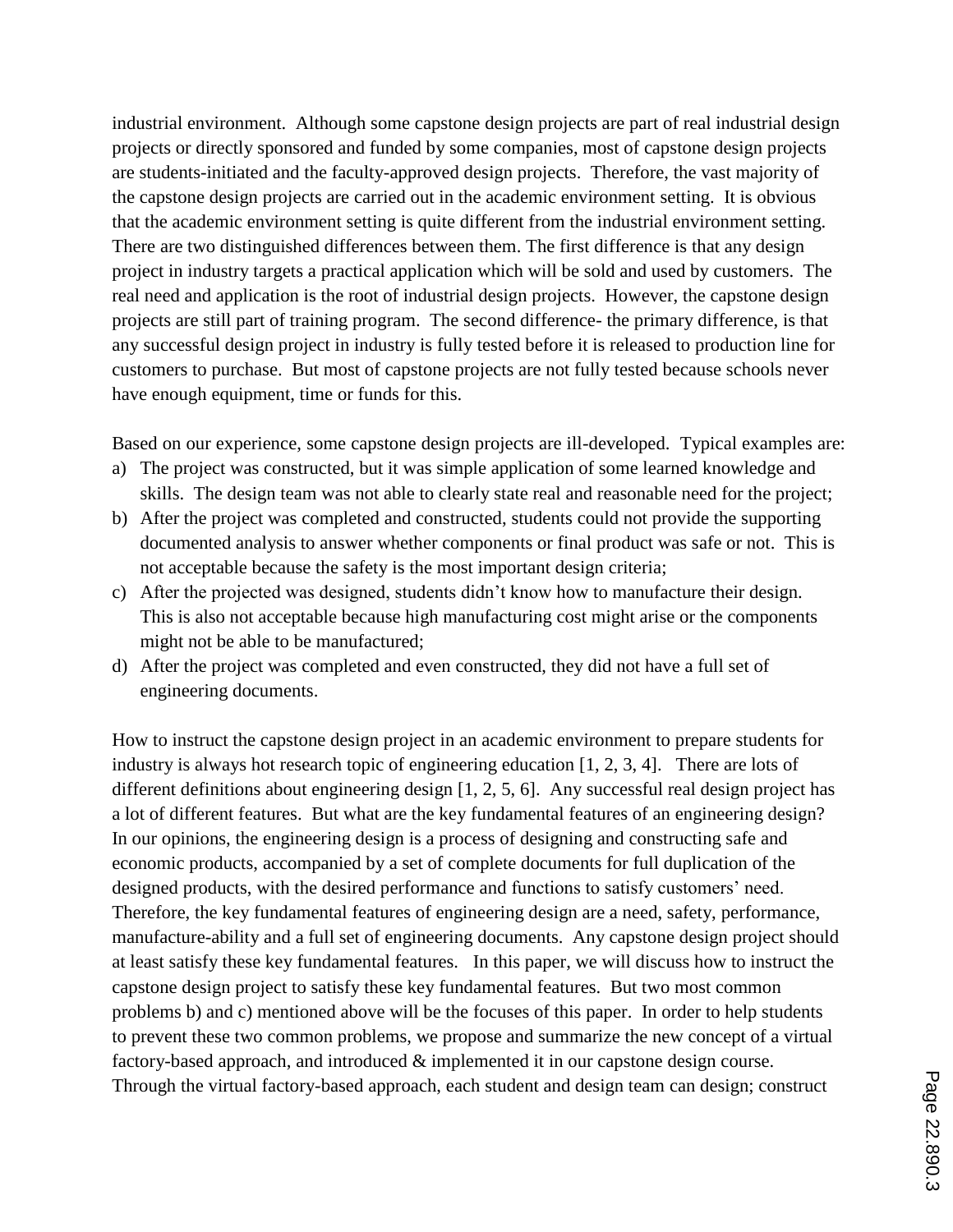industrial environment. Although some capstone design projects are part of real industrial design projects or directly sponsored and funded by some companies, most of capstone design projects are students-initiated and the faculty-approved design projects. Therefore, the vast majority of the capstone design projects are carried out in the academic environment setting. It is obvious that the academic environment setting is quite different from the industrial environment setting. There are two distinguished differences between them. The first difference is that any design project in industry targets a practical application which will be sold and used by customers. The real need and application is the root of industrial design projects. However, the capstone design projects are still part of training program. The second difference- the primary difference, is that any successful design project in industry is fully tested before it is released to production line for customers to purchase. But most of capstone projects are not fully tested because schools never have enough equipment, time or funds for this.

Based on our experience, some capstone design projects are ill-developed. Typical examples are:

- a) The project was constructed, but it was simple application of some learned knowledge and skills. The design team was not able to clearly state real and reasonable need for the project;
- b) After the project was completed and constructed, students could not provide the supporting documented analysis to answer whether components or final product was safe or not. This is not acceptable because the safety is the most important design criteria;
- c) After the projected was designed, students didn"t know how to manufacture their design. This is also not acceptable because high manufacturing cost might arise or the components might not be able to be manufactured;
- d) After the project was completed and even constructed, they did not have a full set of engineering documents.

How to instruct the capstone design project in an academic environment to prepare students for industry is always hot research topic of engineering education [1, 2, 3, 4]. There are lots of different definitions about engineering design [1, 2, 5, 6]. Any successful real design project has a lot of different features. But what are the key fundamental features of an engineering design? In our opinions, the engineering design is a process of designing and constructing safe and economic products, accompanied by a set of complete documents for full duplication of the designed products, with the desired performance and functions to satisfy customers' need. Therefore, the key fundamental features of engineering design are a need, safety, performance, manufacture-ability and a full set of engineering documents. Any capstone design project should at least satisfy these key fundamental features. In this paper, we will discuss how to instruct the capstone design project to satisfy these key fundamental features. But two most common problems b) and c) mentioned above will be the focuses of this paper. In order to help students to prevent these two common problems, we propose and summarize the new concept of a virtual factory-based approach, and introduced & implemented it in our capstone design course. Through the virtual factory-based approach, each student and design team can design; construct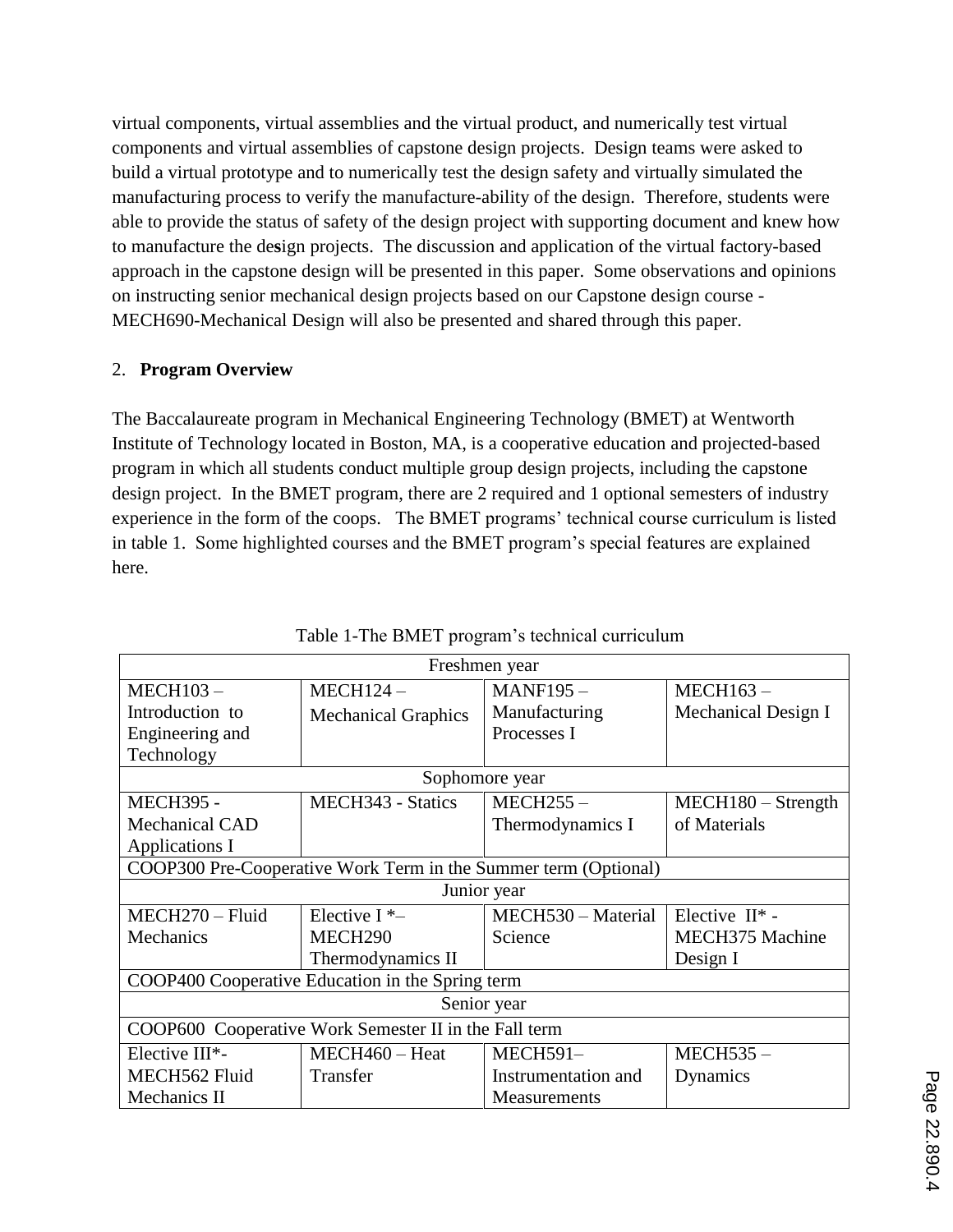virtual components, virtual assemblies and the virtual product, and numerically test virtual components and virtual assemblies of capstone design projects. Design teams were asked to build a virtual prototype and to numerically test the design safety and virtually simulated the manufacturing process to verify the manufacture-ability of the design. Therefore, students were able to provide the status of safety of the design project with supporting document and knew how to manufacture the de**s**ign projects. The discussion and application of the virtual factory-based approach in the capstone design will be presented in this paper. Some observations and opinions on instructing senior mechanical design projects based on our Capstone design course - MECH690-Mechanical Design will also be presented and shared through this paper.

# 2. **Program Overview**

The Baccalaureate program in Mechanical Engineering Technology (BMET) at Wentworth Institute of Technology located in Boston, MA, is a cooperative education and projected-based program in which all students conduct multiple group design projects, including the capstone design project. In the BMET program, there are 2 required and 1 optional semesters of industry experience in the form of the coops. The BMET programs' technical course curriculum is listed in table 1. Some highlighted courses and the BMET program"s special features are explained here.

| Freshmen year                                                   |                            |                     |                        |
|-----------------------------------------------------------------|----------------------------|---------------------|------------------------|
| <b>MECH103-</b>                                                 | $MECH124-$                 | <b>MANF195-</b>     | $MECH163-$             |
| Introduction to                                                 | <b>Mechanical Graphics</b> | Manufacturing       | Mechanical Design I    |
| Engineering and                                                 |                            | Processes I         |                        |
| Technology                                                      |                            |                     |                        |
|                                                                 |                            | Sophomore year      |                        |
| <b>MECH395 -</b>                                                | MECH343 - Statics          | <b>MECH255-</b>     | $MECH180 - Strength$   |
| <b>Mechanical CAD</b>                                           |                            | Thermodynamics I    | of Materials           |
| Applications I                                                  |                            |                     |                        |
| COOP300 Pre-Cooperative Work Term in the Summer term (Optional) |                            |                     |                        |
| Junior year                                                     |                            |                     |                        |
| MECH270 - Fluid                                                 | Elective $I^*-$            | MECH530 - Material  | Elective $II^*$ -      |
| Mechanics                                                       | MECH <sub>290</sub>        | Science             | <b>MECH375 Machine</b> |
|                                                                 | Thermodynamics II          |                     | Design I               |
| COOP400 Cooperative Education in the Spring term                |                            |                     |                        |
| Senior year                                                     |                            |                     |                        |
| COOP600 Cooperative Work Semester II in the Fall term           |                            |                     |                        |
| Elective III*-                                                  | $MECH460 - Heat$           | <b>MECH591-</b>     | <b>MECH535-</b>        |
| MECH562 Fluid                                                   | Transfer                   | Instrumentation and | Dynamics               |
| Mechanics II                                                    |                            | <b>Measurements</b> |                        |

Table 1-The BMET program"s technical curriculum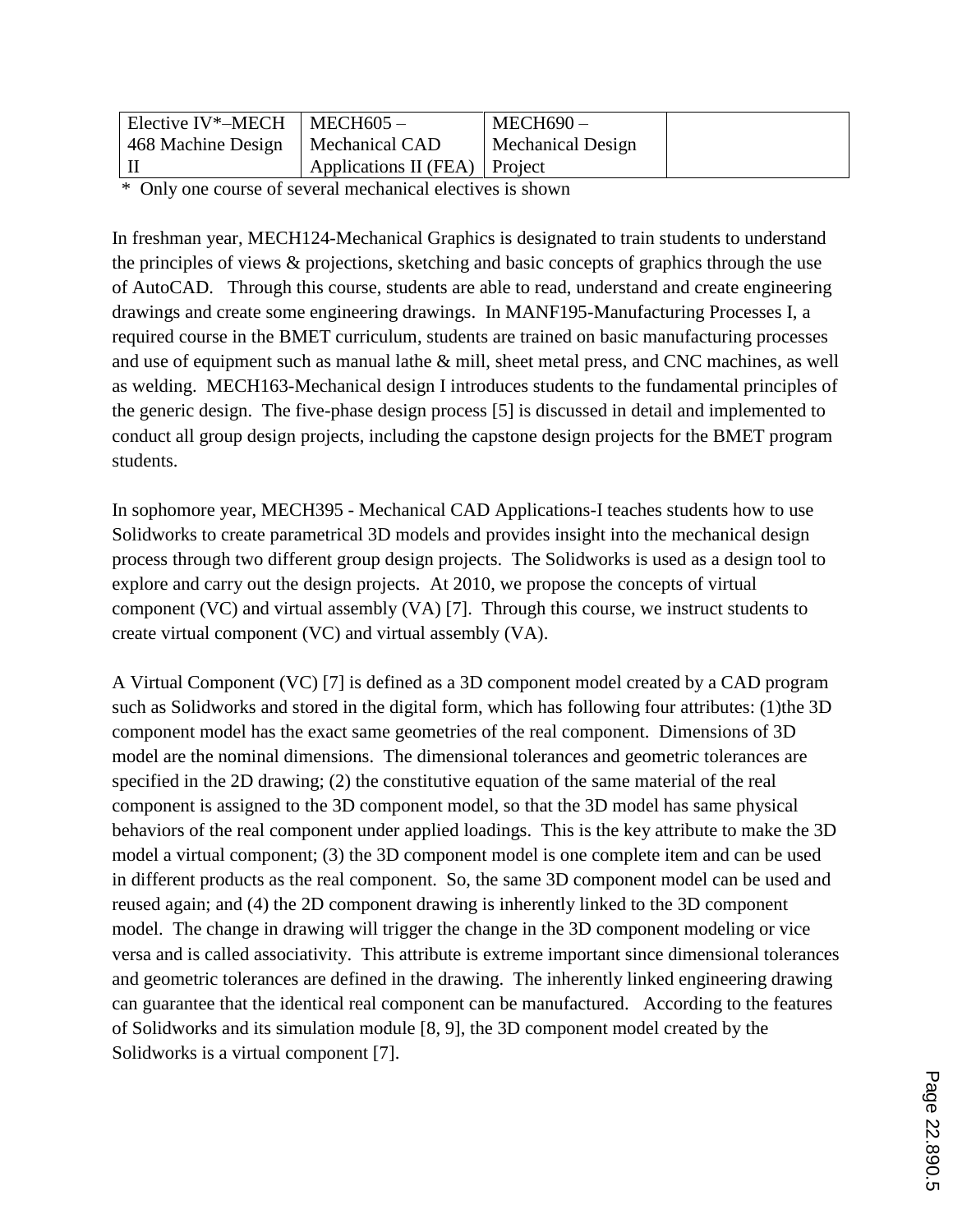| Elective IV*–MECH  | $\overline{\phantom{0}}$ MECH605 – | <b>MECH690-</b>   |  |
|--------------------|------------------------------------|-------------------|--|
| 468 Machine Design | Mechanical CAD                     | Mechanical Design |  |
| II                 | Applications II (FEA) Project      |                   |  |

\* Only one course of several mechanical electives is shown

In freshman year, MECH124-Mechanical Graphics is designated to train students to understand the principles of views & projections, sketching and basic concepts of graphics through the use of AutoCAD. Through this course, students are able to read, understand and create engineering drawings and create some engineering drawings. In MANF195-Manufacturing Processes I, a required course in the BMET curriculum, students are trained on basic manufacturing processes and use of equipment such as manual lathe & mill, sheet metal press, and CNC machines, as well as welding. MECH163-Mechanical design I introduces students to the fundamental principles of the generic design. The five-phase design process [5] is discussed in detail and implemented to conduct all group design projects, including the capstone design projects for the BMET program students.

In sophomore year, MECH395 - Mechanical CAD Applications-I teaches students how to use Solidworks to create parametrical 3D models and provides insight into the mechanical design process through two different group design projects. The Solidworks is used as a design tool to explore and carry out the design projects. At 2010, we propose the concepts of virtual component (VC) and virtual assembly (VA) [7]. Through this course, we instruct students to create virtual component (VC) and virtual assembly (VA).

A Virtual Component (VC) [7] is defined as a 3D component model created by a CAD program such as Solidworks and stored in the digital form, which has following four attributes: (1) the 3D component model has the exact same geometries of the real component. Dimensions of 3D model are the nominal dimensions. The dimensional tolerances and geometric tolerances are specified in the 2D drawing; (2) the constitutive equation of the same material of the real component is assigned to the 3D component model, so that the 3D model has same physical behaviors of the real component under applied loadings. This is the key attribute to make the 3D model a virtual component; (3) the 3D component model is one complete item and can be used in different products as the real component. So, the same 3D component model can be used and reused again; and (4) the 2D component drawing is inherently linked to the 3D component model. The change in drawing will trigger the change in the 3D component modeling or vice versa and is called associativity. This attribute is extreme important since dimensional tolerances and geometric tolerances are defined in the drawing. The inherently linked engineering drawing can guarantee that the identical real component can be manufactured. According to the features of Solidworks and its simulation module [8, 9], the 3D component model created by the Solidworks is a virtual component [7].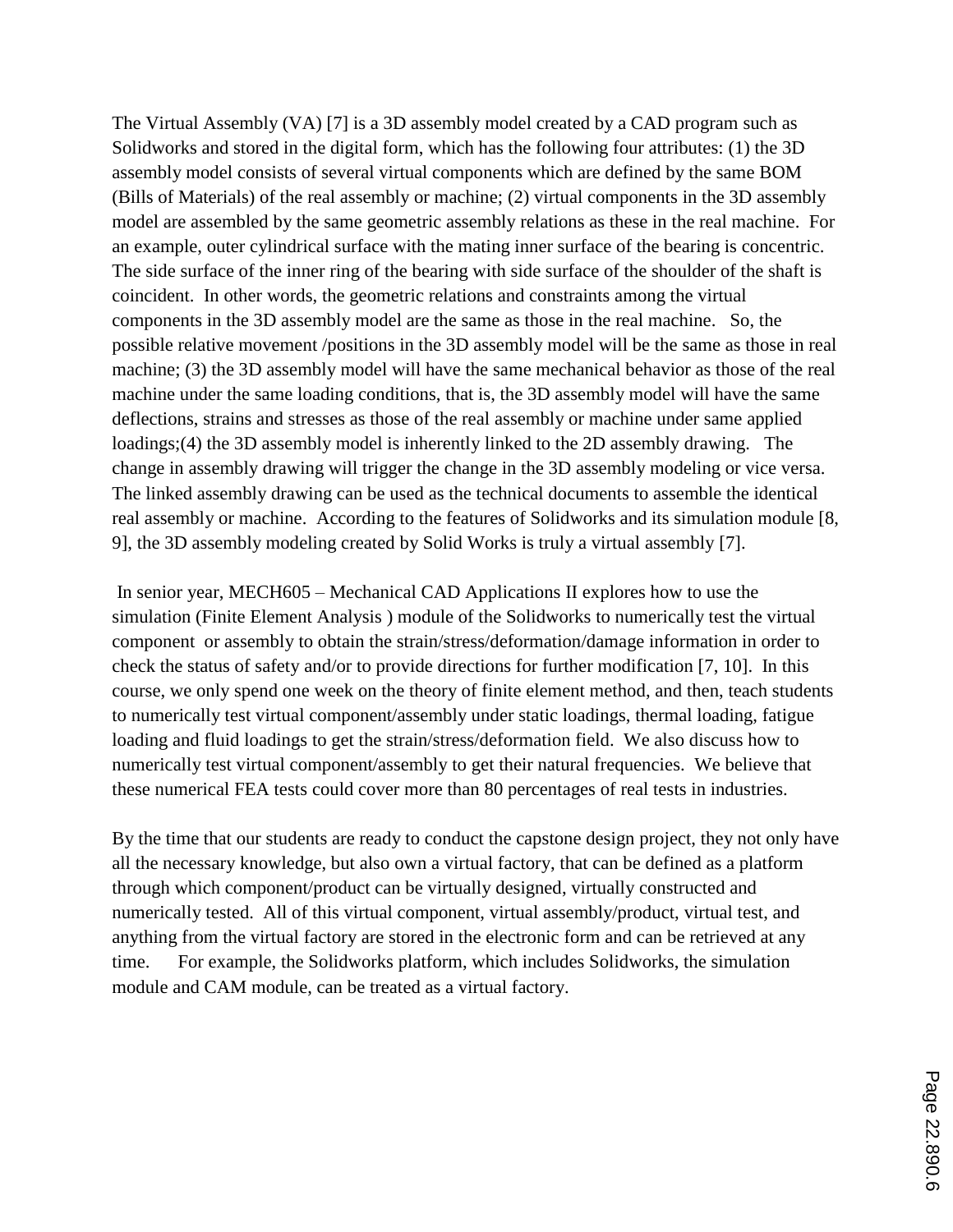The Virtual Assembly (VA) [7] is a 3D assembly model created by a CAD program such as Solidworks and stored in the digital form, which has the following four attributes: (1) the 3D assembly model consists of several virtual components which are defined by the same BOM (Bills of Materials) of the real assembly or machine; (2) virtual components in the 3D assembly model are assembled by the same geometric assembly relations as these in the real machine. For an example, outer cylindrical surface with the mating inner surface of the bearing is concentric. The side surface of the inner ring of the bearing with side surface of the shoulder of the shaft is coincident. In other words, the geometric relations and constraints among the virtual components in the 3D assembly model are the same as those in the real machine. So, the possible relative movement /positions in the 3D assembly model will be the same as those in real machine; (3) the 3D assembly model will have the same mechanical behavior as those of the real machine under the same loading conditions, that is, the 3D assembly model will have the same deflections, strains and stresses as those of the real assembly or machine under same applied loadings;(4) the 3D assembly model is inherently linked to the 2D assembly drawing. The change in assembly drawing will trigger the change in the 3D assembly modeling or vice versa. The linked assembly drawing can be used as the technical documents to assemble the identical real assembly or machine. According to the features of Solidworks and its simulation module [8, 9], the 3D assembly modeling created by Solid Works is truly a virtual assembly [7].

In senior year, MECH605 – Mechanical CAD Applications II explores how to use the simulation (Finite Element Analysis ) module of the Solidworks to numerically test the virtual component or assembly to obtain the strain/stress/deformation/damage information in order to check the status of safety and/or to provide directions for further modification [7, 10]. In this course, we only spend one week on the theory of finite element method, and then, teach students to numerically test virtual component/assembly under static loadings, thermal loading, fatigue loading and fluid loadings to get the strain/stress/deformation field. We also discuss how to numerically test virtual component/assembly to get their natural frequencies. We believe that these numerical FEA tests could cover more than 80 percentages of real tests in industries.

By the time that our students are ready to conduct the capstone design project, they not only have all the necessary knowledge, but also own a virtual factory, that can be defined as a platform through which component/product can be virtually designed, virtually constructed and numerically tested. All of this virtual component, virtual assembly/product, virtual test, and anything from the virtual factory are stored in the electronic form and can be retrieved at any time. For example, the Solidworks platform, which includes Solidworks, the simulation module and CAM module, can be treated as a virtual factory.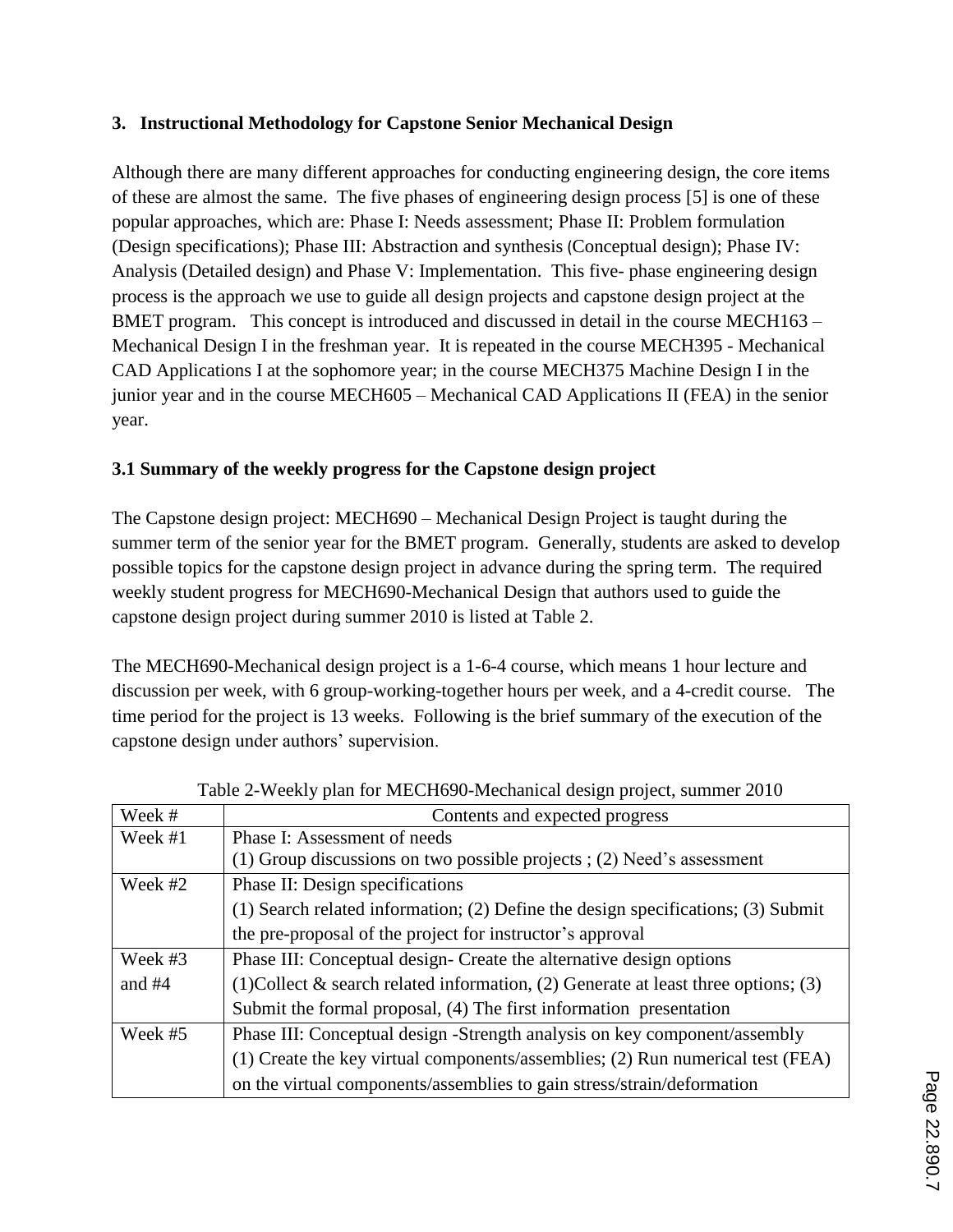# **3. Instructional Methodology for Capstone Senior Mechanical Design**

Although there are many different approaches for conducting engineering design, the core items of these are almost the same. The five phases of engineering design process [5] is one of these popular approaches, which are: Phase I: Needs assessment; Phase II: Problem formulation (Design specifications); Phase III: Abstraction and synthesis (Conceptual design); Phase IV: Analysis (Detailed design) and Phase V: Implementation. This five- phase engineering design process is the approach we use to guide all design projects and capstone design project at the BMET program. This concept is introduced and discussed in detail in the course MECH163 – Mechanical Design I in the freshman year. It is repeated in the course MECH395 - Mechanical CAD Applications I at the sophomore year; in the course MECH375 Machine Design I in the junior year and in the course MECH605 – Mechanical CAD Applications II (FEA) in the senior year.

# **3.1 Summary of the weekly progress for the Capstone design project**

The Capstone design project: MECH690 – Mechanical Design Project is taught during the summer term of the senior year for the BMET program. Generally, students are asked to develop possible topics for the capstone design project in advance during the spring term. The required weekly student progress for MECH690-Mechanical Design that authors used to guide the capstone design project during summer 2010 is listed at Table 2.

The MECH690-Mechanical design project is a 1-6-4 course, which means 1 hour lecture and discussion per week, with 6 group-working-together hours per week, and a 4-credit course. The time period for the project is 13 weeks. Following is the brief summary of the execution of the capstone design under authors' supervision.

| Week #   | Contents and expected progress                                                        |
|----------|---------------------------------------------------------------------------------------|
| Week #1  | Phase I: Assessment of needs                                                          |
|          | $(1)$ Group discussions on two possible projects; $(2)$ Need's assessment             |
| Week #2  | Phase II: Design specifications                                                       |
|          | (1) Search related information; (2) Define the design specifications; (3) Submit      |
|          | the pre-proposal of the project for instructor's approval                             |
| Week #3  | Phase III: Conceptual design- Create the alternative design options                   |
| and $#4$ | (1) Collect $\&$ search related information, (2) Generate at least three options; (3) |
|          | Submit the formal proposal, (4) The first information presentation                    |
| Week #5  | Phase III: Conceptual design -Strength analysis on key component/assembly             |
|          | (1) Create the key virtual components/assemblies; (2) Run numerical test (FEA)        |
|          | on the virtual components/assemblies to gain stress/strain/deformation                |

| Table 2-Weekly plan for MECH690-Mechanical design project, summer 2010 |  |  |  |
|------------------------------------------------------------------------|--|--|--|
|                                                                        |  |  |  |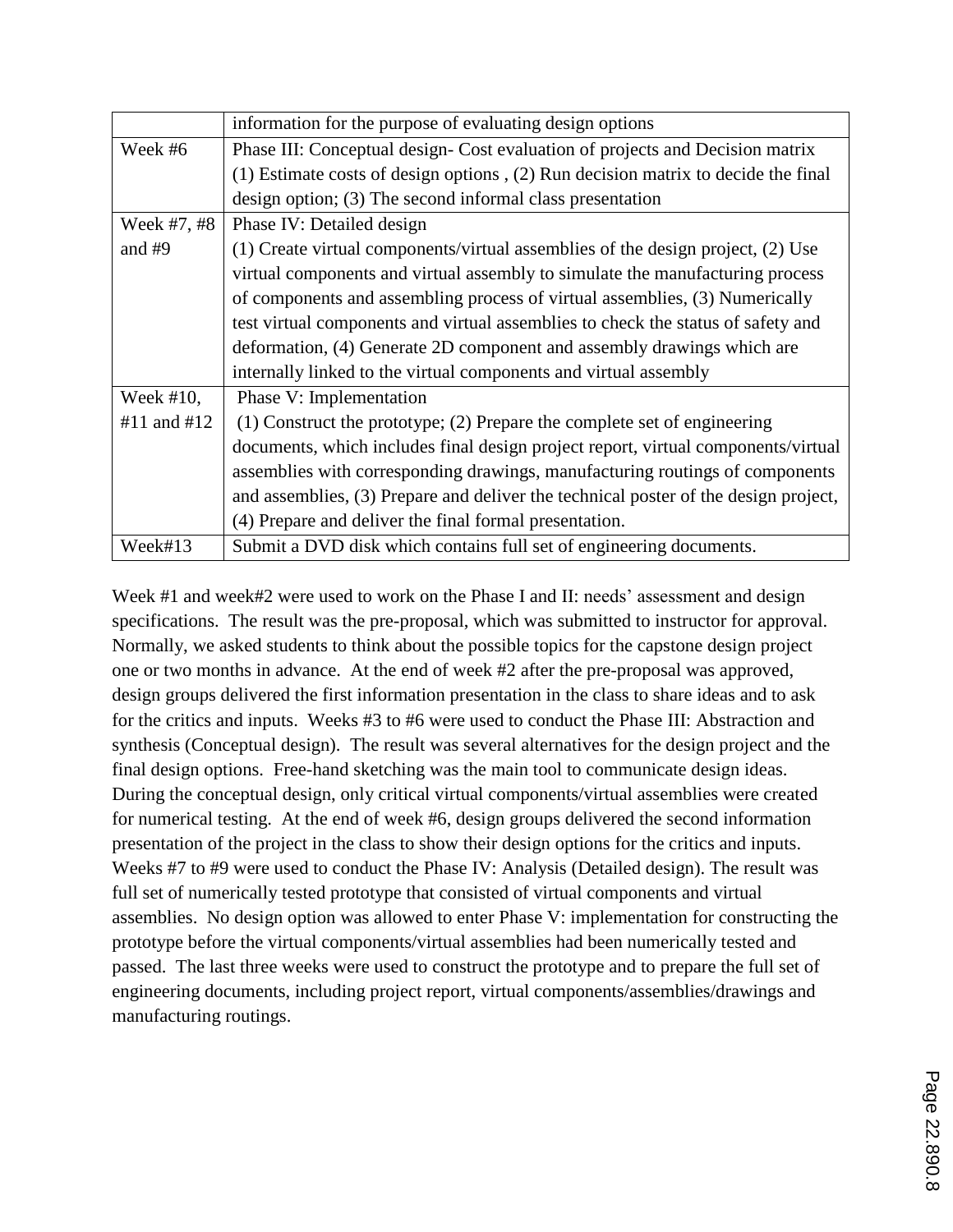|               | information for the purpose of evaluating design options                            |
|---------------|-------------------------------------------------------------------------------------|
| Week #6       | Phase III: Conceptual design- Cost evaluation of projects and Decision matrix       |
|               | (1) Estimate costs of design options, (2) Run decision matrix to decide the final   |
|               | design option; (3) The second informal class presentation                           |
| Week #7, #8   | Phase IV: Detailed design                                                           |
| and $#9$      | (1) Create virtual components/virtual assemblies of the design project, (2) Use     |
|               | virtual components and virtual assembly to simulate the manufacturing process       |
|               | of components and assembling process of virtual assemblies, (3) Numerically         |
|               | test virtual components and virtual assemblies to check the status of safety and    |
|               | deformation, (4) Generate 2D component and assembly drawings which are              |
|               | internally linked to the virtual components and virtual assembly                    |
| Week $#10$ ,  | Phase V: Implementation                                                             |
| #11 and $#12$ | $(1)$ Construct the prototype; $(2)$ Prepare the complete set of engineering        |
|               | documents, which includes final design project report, virtual components/virtual   |
|               | assemblies with corresponding drawings, manufacturing routings of components        |
|               | and assemblies, (3) Prepare and deliver the technical poster of the design project, |
|               | (4) Prepare and deliver the final formal presentation.                              |
| Week#13       | Submit a DVD disk which contains full set of engineering documents.                 |

Week #1 and week#2 were used to work on the Phase I and II: needs' assessment and design specifications. The result was the pre-proposal, which was submitted to instructor for approval. Normally, we asked students to think about the possible topics for the capstone design project one or two months in advance. At the end of week #2 after the pre-proposal was approved, design groups delivered the first information presentation in the class to share ideas and to ask for the critics and inputs. Weeks #3 to #6 were used to conduct the Phase III: Abstraction and synthesis (Conceptual design). The result was several alternatives for the design project and the final design options. Free-hand sketching was the main tool to communicate design ideas. During the conceptual design, only critical virtual components/virtual assemblies were created for numerical testing. At the end of week #6, design groups delivered the second information presentation of the project in the class to show their design options for the critics and inputs. Weeks #7 to #9 were used to conduct the Phase IV: Analysis (Detailed design). The result was full set of numerically tested prototype that consisted of virtual components and virtual assemblies. No design option was allowed to enter Phase V: implementation for constructing the prototype before the virtual components/virtual assemblies had been numerically tested and passed. The last three weeks were used to construct the prototype and to prepare the full set of engineering documents, including project report, virtual components/assemblies/drawings and manufacturing routings.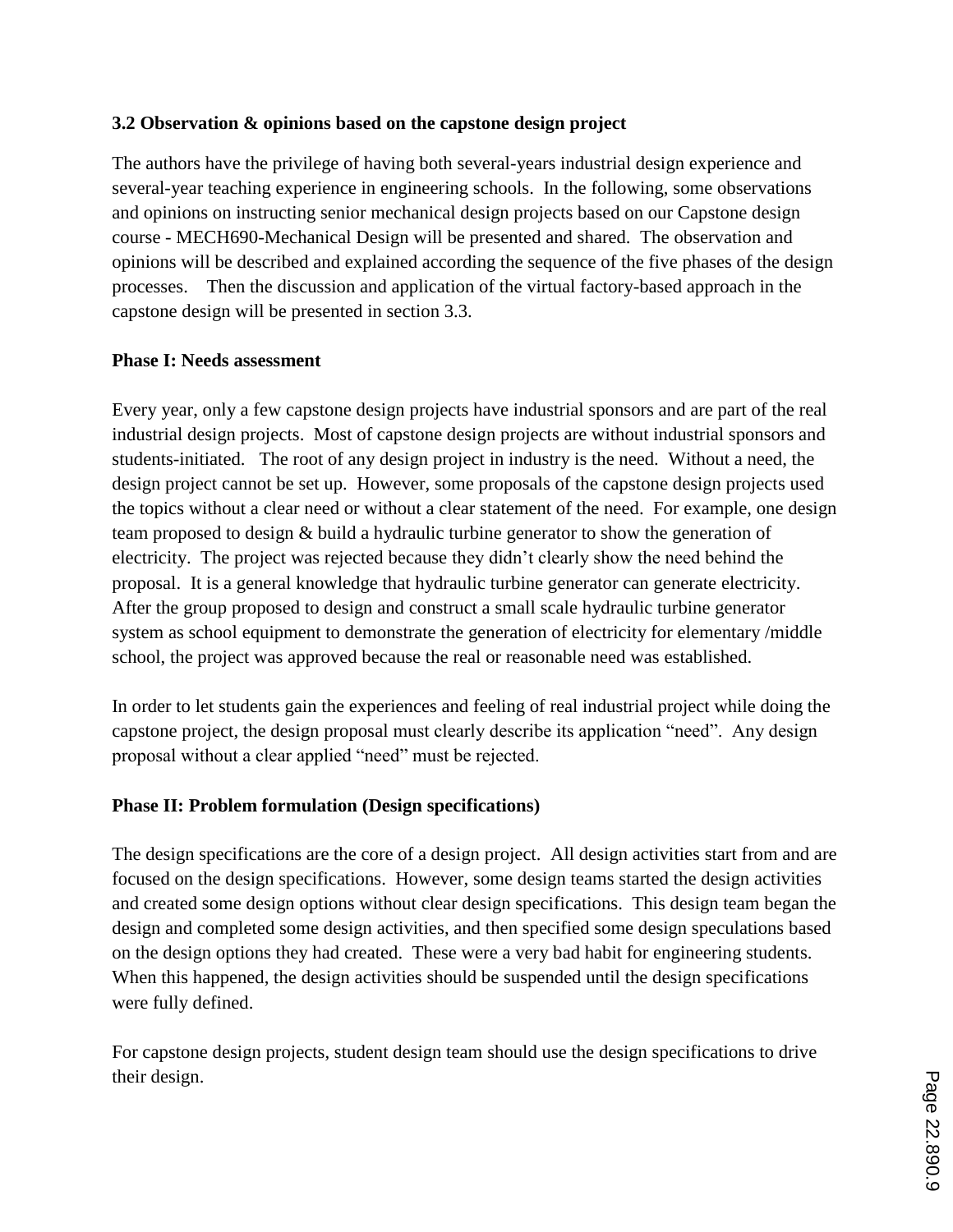## **3.2 Observation & opinions based on the capstone design project**

The authors have the privilege of having both several-years industrial design experience and several-year teaching experience in engineering schools. In the following, some observations and opinions on instructing senior mechanical design projects based on our Capstone design course - MECH690-Mechanical Design will be presented and shared. The observation and opinions will be described and explained according the sequence of the five phases of the design processes. Then the discussion and application of the virtual factory-based approach in the capstone design will be presented in section 3.3.

### **Phase I: Needs assessment**

Every year, only a few capstone design projects have industrial sponsors and are part of the real industrial design projects. Most of capstone design projects are without industrial sponsors and students-initiated. The root of any design project in industry is the need. Without a need, the design project cannot be set up. However, some proposals of the capstone design projects used the topics without a clear need or without a clear statement of the need. For example, one design team proposed to design & build a hydraulic turbine generator to show the generation of electricity. The project was rejected because they didn"t clearly show the need behind the proposal. It is a general knowledge that hydraulic turbine generator can generate electricity. After the group proposed to design and construct a small scale hydraulic turbine generator system as school equipment to demonstrate the generation of electricity for elementary /middle school, the project was approved because the real or reasonable need was established.

In order to let students gain the experiences and feeling of real industrial project while doing the capstone project, the design proposal must clearly describe its application "need". Any design proposal without a clear applied "need" must be rejected.

## **Phase II: Problem formulation (Design specifications)**

The design specifications are the core of a design project. All design activities start from and are focused on the design specifications. However, some design teams started the design activities and created some design options without clear design specifications. This design team began the design and completed some design activities, and then specified some design speculations based on the design options they had created. These were a very bad habit for engineering students. When this happened, the design activities should be suspended until the design specifications were fully defined.

For capstone design projects, student design team should use the design specifications to drive their design.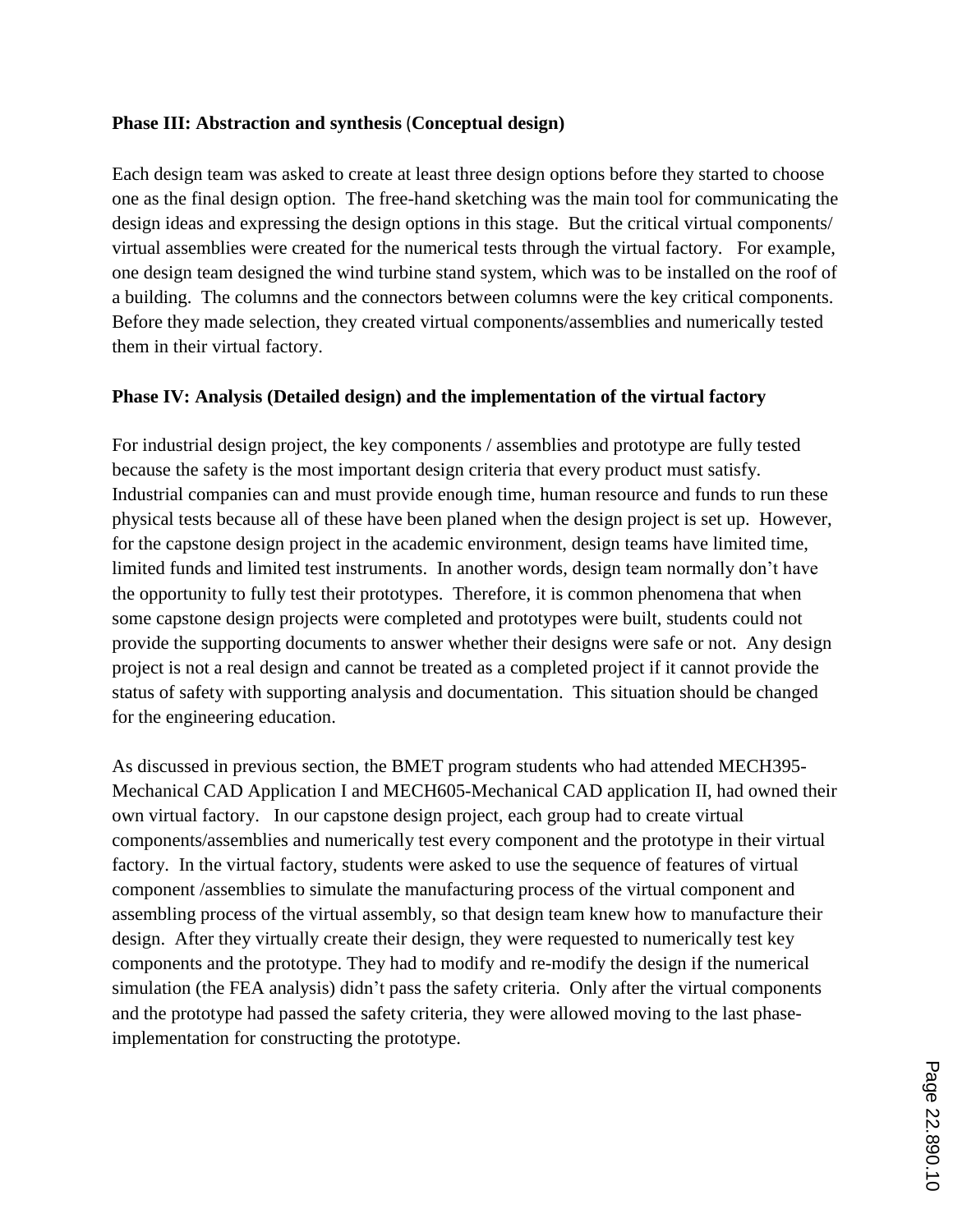### **Phase III: Abstraction and synthesis** (**Conceptual design)**

Each design team was asked to create at least three design options before they started to choose one as the final design option. The free-hand sketching was the main tool for communicating the design ideas and expressing the design options in this stage. But the critical virtual components/ virtual assemblies were created for the numerical tests through the virtual factory. For example, one design team designed the wind turbine stand system, which was to be installed on the roof of a building. The columns and the connectors between columns were the key critical components. Before they made selection, they created virtual components/assemblies and numerically tested them in their virtual factory.

### **Phase IV: Analysis (Detailed design) and the implementation of the virtual factory**

For industrial design project, the key components / assemblies and prototype are fully tested because the safety is the most important design criteria that every product must satisfy. Industrial companies can and must provide enough time, human resource and funds to run these physical tests because all of these have been planed when the design project is set up. However, for the capstone design project in the academic environment, design teams have limited time, limited funds and limited test instruments. In another words, design team normally don"t have the opportunity to fully test their prototypes. Therefore, it is common phenomena that when some capstone design projects were completed and prototypes were built, students could not provide the supporting documents to answer whether their designs were safe or not. Any design project is not a real design and cannot be treated as a completed project if it cannot provide the status of safety with supporting analysis and documentation. This situation should be changed for the engineering education.

As discussed in previous section, the BMET program students who had attended MECH395- Mechanical CAD Application I and MECH605-Mechanical CAD application II, had owned their own virtual factory. In our capstone design project, each group had to create virtual components/assemblies and numerically test every component and the prototype in their virtual factory. In the virtual factory, students were asked to use the sequence of features of virtual component /assemblies to simulate the manufacturing process of the virtual component and assembling process of the virtual assembly, so that design team knew how to manufacture their design. After they virtually create their design, they were requested to numerically test key components and the prototype. They had to modify and re-modify the design if the numerical simulation (the FEA analysis) didn't pass the safety criteria. Only after the virtual components and the prototype had passed the safety criteria, they were allowed moving to the last phaseimplementation for constructing the prototype.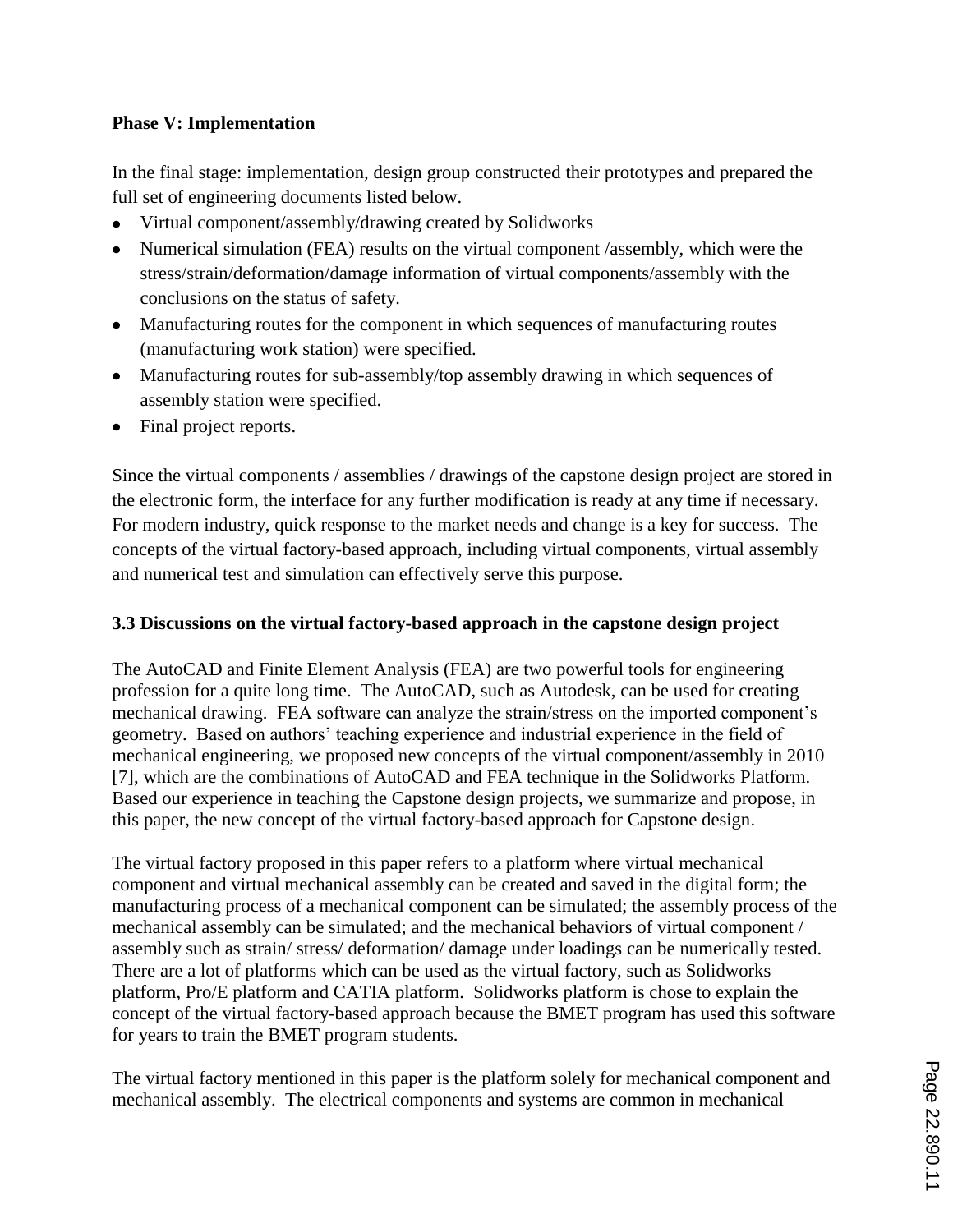## **Phase V: Implementation**

In the final stage: implementation, design group constructed their prototypes and prepared the full set of engineering documents listed below.

- Virtual component/assembly/drawing created by Solidworks
- Numerical simulation (FEA) results on the virtual component /assembly, which were the stress/strain/deformation/damage information of virtual components/assembly with the conclusions on the status of safety.
- Manufacturing routes for the component in which sequences of manufacturing routes (manufacturing work station) were specified.
- Manufacturing routes for sub-assembly/top assembly drawing in which sequences of assembly station were specified.
- Final project reports.

Since the virtual components / assemblies / drawings of the capstone design project are stored in the electronic form, the interface for any further modification is ready at any time if necessary. For modern industry, quick response to the market needs and change is a key for success. The concepts of the virtual factory-based approach, including virtual components, virtual assembly and numerical test and simulation can effectively serve this purpose.

## **3.3 Discussions on the virtual factory-based approach in the capstone design project**

The AutoCAD and Finite Element Analysis (FEA) are two powerful tools for engineering profession for a quite long time. The AutoCAD, such as Autodesk, can be used for creating mechanical drawing. FEA software can analyze the strain/stress on the imported component's geometry. Based on authors" teaching experience and industrial experience in the field of mechanical engineering, we proposed new concepts of the virtual component/assembly in 2010 [7], which are the combinations of AutoCAD and FEA technique in the Solidworks Platform. Based our experience in teaching the Capstone design projects, we summarize and propose, in this paper, the new concept of the virtual factory-based approach for Capstone design.

The virtual factory proposed in this paper refers to a platform where virtual mechanical component and virtual mechanical assembly can be created and saved in the digital form; the manufacturing process of a mechanical component can be simulated; the assembly process of the mechanical assembly can be simulated; and the mechanical behaviors of virtual component / assembly such as strain/ stress/ deformation/ damage under loadings can be numerically tested. There are a lot of platforms which can be used as the virtual factory, such as Solidworks platform, Pro/E platform and CATIA platform. Solidworks platform is chose to explain the concept of the virtual factory-based approach because the BMET program has used this software for years to train the BMET program students.

The virtual factory mentioned in this paper is the platform solely for mechanical component and mechanical assembly. The electrical components and systems are common in mechanical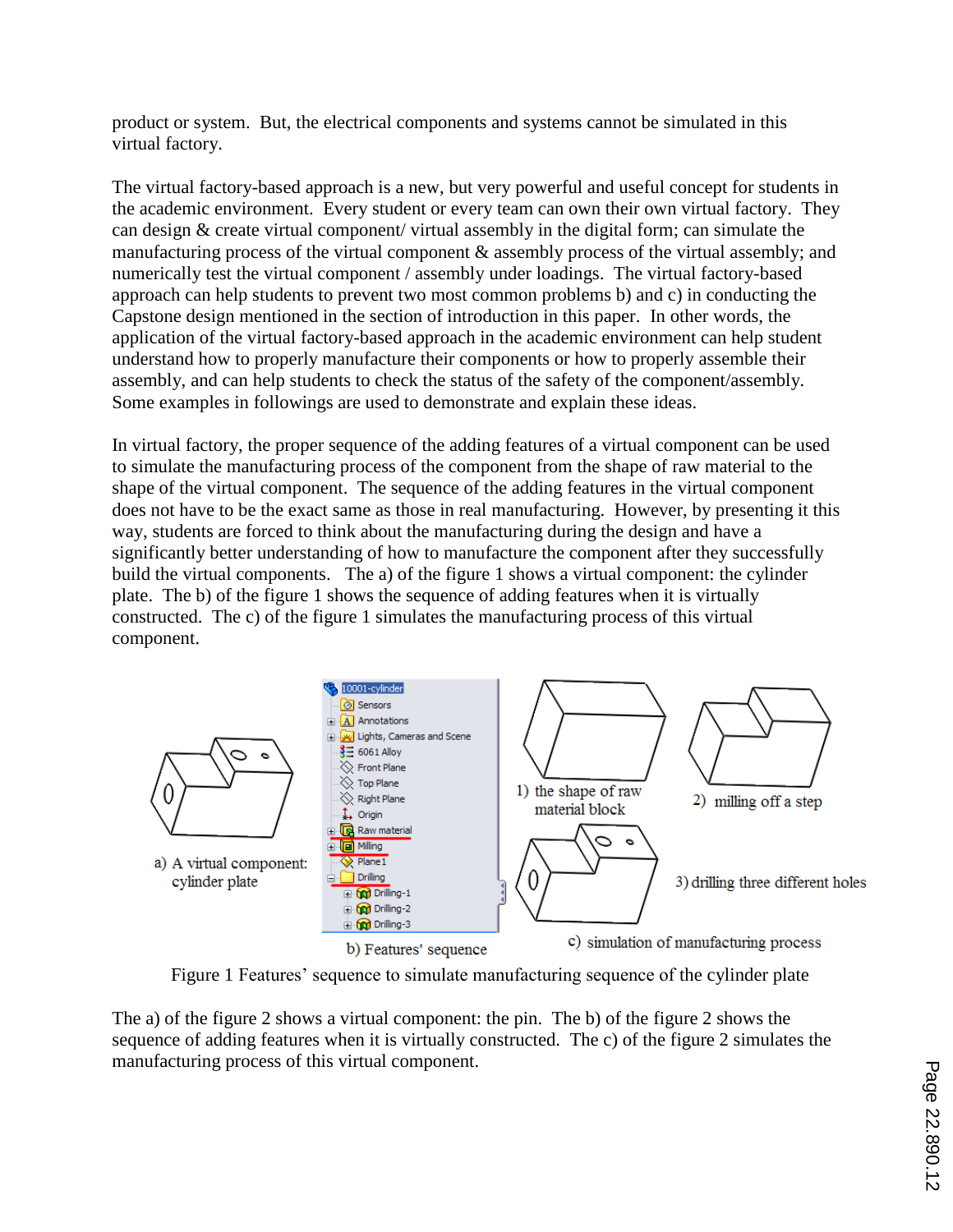product or system. But, the electrical components and systems cannot be simulated in this virtual factory.

The virtual factory-based approach is a new, but very powerful and useful concept for students in the academic environment. Every student or every team can own their own virtual factory. They can design & create virtual component/ virtual assembly in the digital form; can simulate the manufacturing process of the virtual component & assembly process of the virtual assembly; and numerically test the virtual component / assembly under loadings. The virtual factory-based approach can help students to prevent two most common problems b) and c) in conducting the Capstone design mentioned in the section of introduction in this paper. In other words, the application of the virtual factory-based approach in the academic environment can help student understand how to properly manufacture their components or how to properly assemble their assembly, and can help students to check the status of the safety of the component/assembly. Some examples in followings are used to demonstrate and explain these ideas.

In virtual factory, the proper sequence of the adding features of a virtual component can be used to simulate the manufacturing process of the component from the shape of raw material to the shape of the virtual component. The sequence of the adding features in the virtual component does not have to be the exact same as those in real manufacturing. However, by presenting it this way, students are forced to think about the manufacturing during the design and have a significantly better understanding of how to manufacture the component after they successfully build the virtual components. The a) of the figure 1 shows a virtual component: the cylinder plate. The b) of the figure 1 shows the sequence of adding features when it is virtually constructed. The c) of the figure 1 simulates the manufacturing process of this virtual component.



Figure 1 Features' sequence to simulate manufacturing sequence of the cylinder plate

The a) of the figure 2 shows a virtual component: the pin. The b) of the figure 2 shows the sequence of adding features when it is virtually constructed. The c) of the figure 2 simulates the manufacturing process of this virtual component.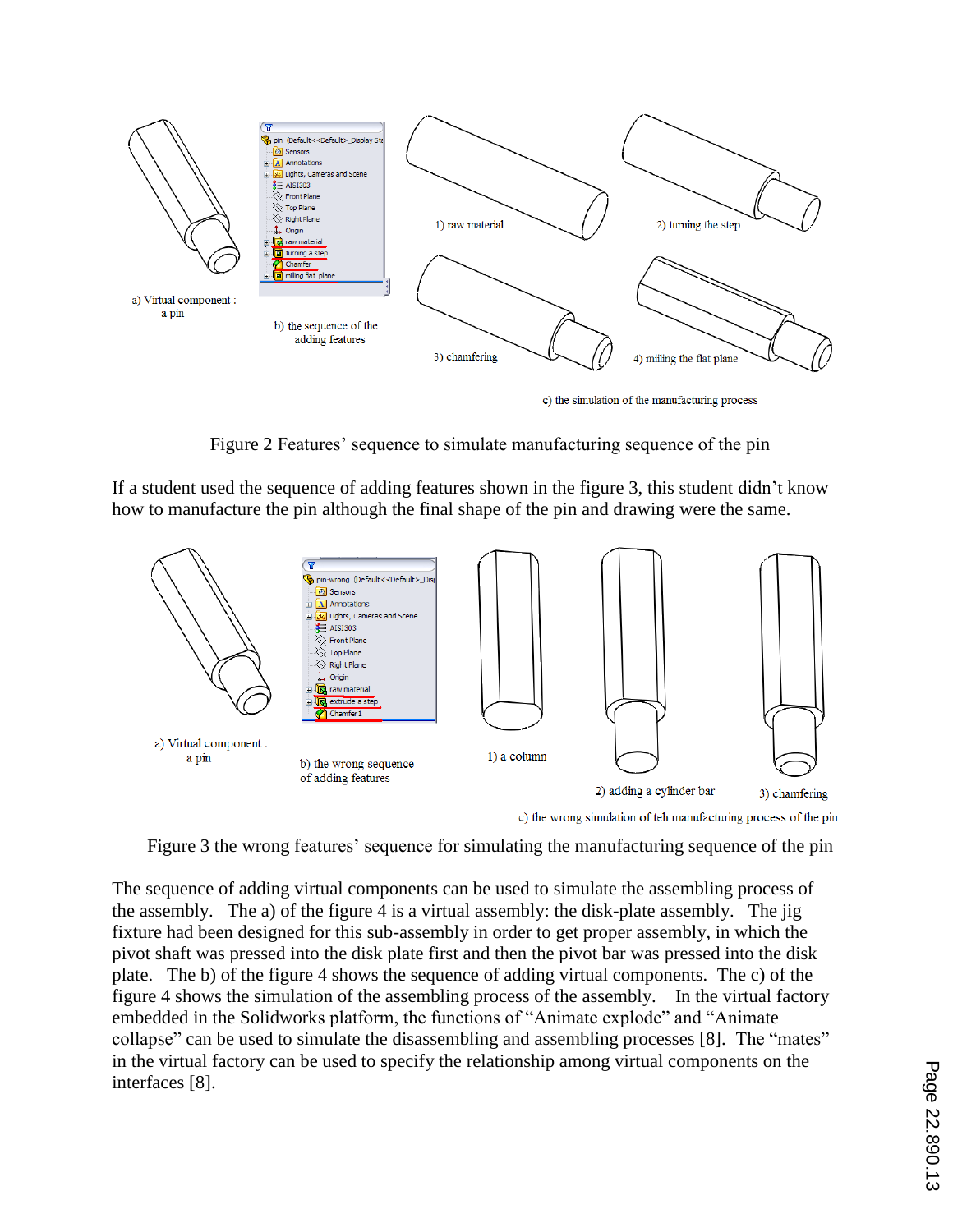

c) the simulation of the manufacturing process

Figure 2 Features' sequence to simulate manufacturing sequence of the pin

If a student used the sequence of adding features shown in the figure 3, this student didn"t know how to manufacture the pin although the final shape of the pin and drawing were the same.



c) the wrong simulation of teh manufacturing process of the pin

Figure 3 the wrong features' sequence for simulating the manufacturing sequence of the pin

The sequence of adding virtual components can be used to simulate the assembling process of the assembly. The a) of the figure 4 is a virtual assembly: the disk-plate assembly. The jig fixture had been designed for this sub-assembly in order to get proper assembly, in which the pivot shaft was pressed into the disk plate first and then the pivot bar was pressed into the disk plate. The b) of the figure 4 shows the sequence of adding virtual components. The c) of the figure 4 shows the simulation of the assembling process of the assembly. In the virtual factory embedded in the Solidworks platform, the functions of "Animate explode" and "Animate collapse" can be used to simulate the disassembling and assembling processes [8]. The "mates" in the virtual factory can be used to specify the relationship among virtual components on the interfaces [8].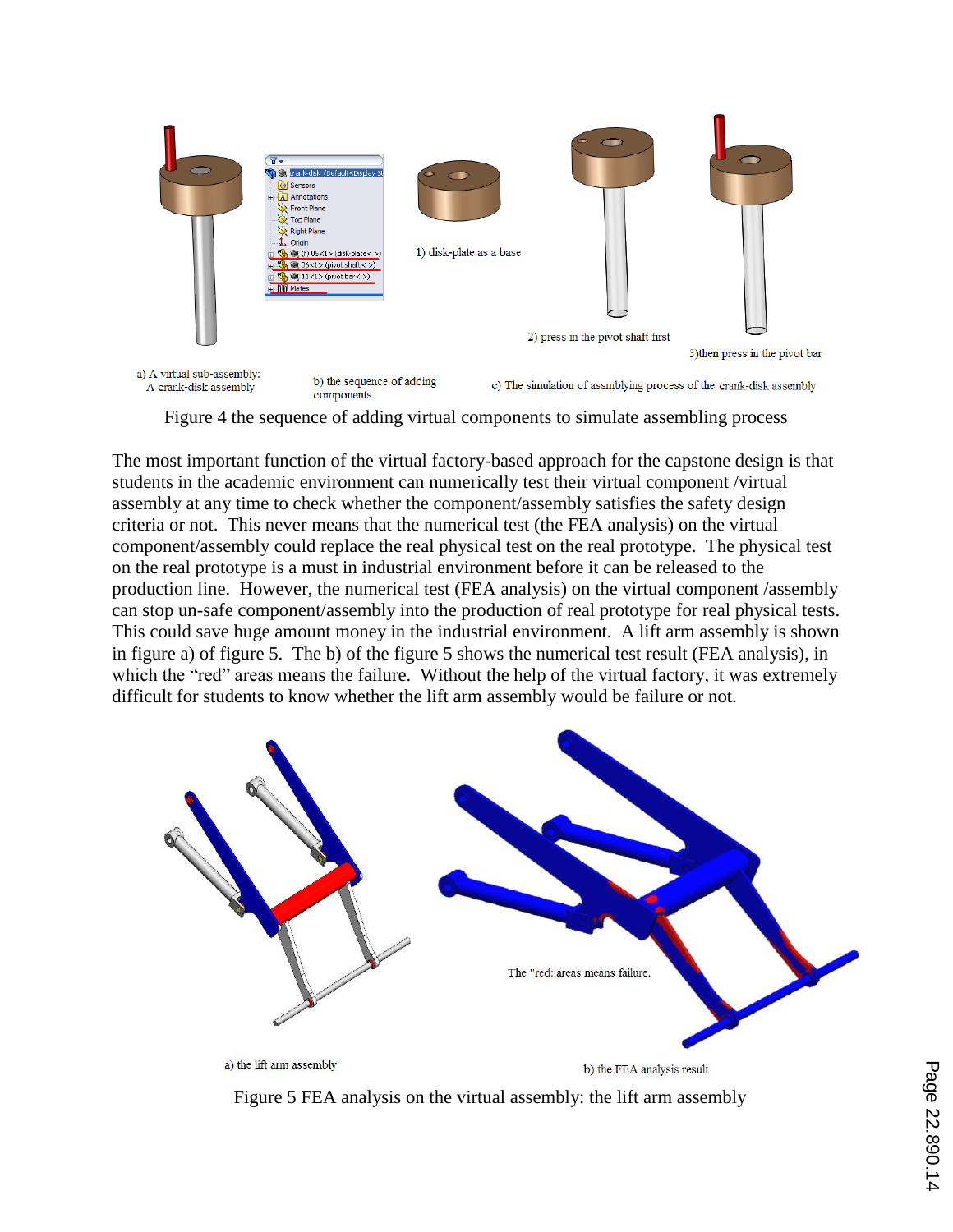

Figure 4 the sequence of adding virtual components to simulate assembling process

The most important function of the virtual factory-based approach for the capstone design is that students in the academic environment can numerically test their virtual component /virtual assembly at any time to check whether the component/assembly satisfies the safety design criteria or not. This never means that the numerical test (the FEA analysis) on the virtual component/assembly could replace the real physical test on the real prototype. The physical test on the real prototype is a must in industrial environment before it can be released to the production line. However, the numerical test (FEA analysis) on the virtual component /assembly can stop un-safe component/assembly into the production of real prototype for real physical tests. This could save huge amount money in the industrial environment. A lift arm assembly is shown in figure a) of figure 5. The b) of the figure 5 shows the numerical test result (FEA analysis), in which the "red" areas means the failure. Without the help of the virtual factory, it was extremely difficult for students to know whether the lift arm assembly would be failure or not.



Figure 5 FEA analysis on the virtual assembly: the lift arm assembly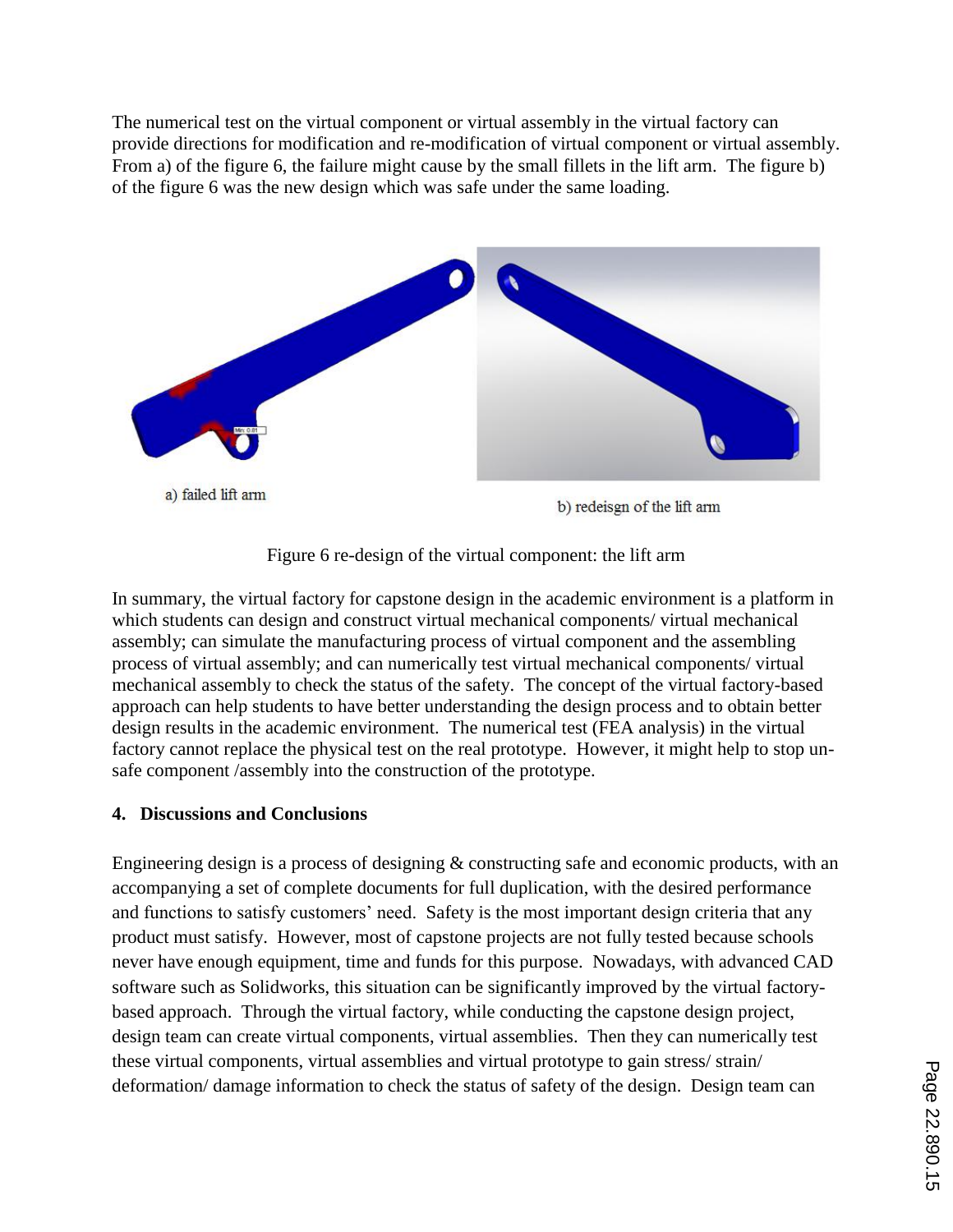The numerical test on the virtual component or virtual assembly in the virtual factory can provide directions for modification and re-modification of virtual component or virtual assembly. From a) of the figure 6, the failure might cause by the small fillets in the lift arm. The figure b) of the figure 6 was the new design which was safe under the same loading.



Figure 6 re-design of the virtual component: the lift arm

In summary, the virtual factory for capstone design in the academic environment is a platform in which students can design and construct virtual mechanical components/ virtual mechanical assembly; can simulate the manufacturing process of virtual component and the assembling process of virtual assembly; and can numerically test virtual mechanical components/ virtual mechanical assembly to check the status of the safety. The concept of the virtual factory-based approach can help students to have better understanding the design process and to obtain better design results in the academic environment. The numerical test (FEA analysis) in the virtual factory cannot replace the physical test on the real prototype. However, it might help to stop unsafe component /assembly into the construction of the prototype.

# **4. Discussions and Conclusions**

Engineering design is a process of designing & constructing safe and economic products, with an accompanying a set of complete documents for full duplication, with the desired performance and functions to satisfy customers' need. Safety is the most important design criteria that any product must satisfy. However, most of capstone projects are not fully tested because schools never have enough equipment, time and funds for this purpose. Nowadays, with advanced CAD software such as Solidworks, this situation can be significantly improved by the virtual factorybased approach. Through the virtual factory, while conducting the capstone design project, design team can create virtual components, virtual assemblies. Then they can numerically test these virtual components, virtual assemblies and virtual prototype to gain stress/ strain/ deformation/ damage information to check the status of safety of the design. Design team can